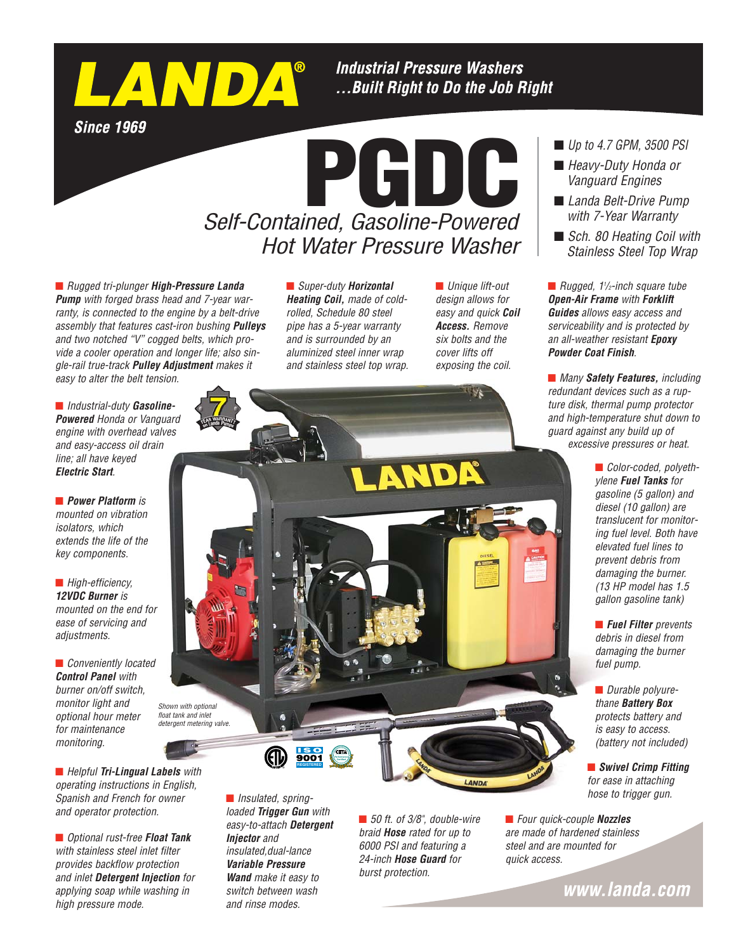

**Industrial Pressure Washers** ...Built Right to Do the Job Right

**Since 1969** 

## Self-Contained, Gasoline-Powered **PGDC** Hot Water Pressure Washer

■ Rugged tri-plunger **High-Pressure Landa Pump** with forged brass head and 7-year warranty, is connected to the engine by a belt-drive assembly that features cast-iron bushing **Pulleys** and two notched "V" cogged belts, which provide a cooler operation and longer life; also single-rail true-track **Pulley Adjustment** makes it easy to alter the belt tension.

■ Super-duty **Horizontal Heating Coil,** made of coldrolled, Schedule 80 steel pipe has a 5-year warranty and is surrounded by an aluminized steel inner wrap and stainless steel top wrap. ■ Unique lift-out design allows for easy and quick **Coil Access.** Remove six bolts and the cover lifts off exposing the coil.

■ *Up to 4.7 GPM, 3500 PSI* 

- Heavy-Duty Honda or Vanguard Engines
- Landa Belt-Drive Pump with 7-Year Warranty
- Sch. 80 Heating Coil with Stainless Steel Top Wrap

■ Rugged, 1<sup>1</sup>/<sub>2</sub>-inch square tube **Open-Air Frame** with **Forklift Guides** allows easy access and serviceability and is protected by an all-weather resistant **Epoxy Powder Coat Finish**.

■ Many Safety Features, including redundant devices such as a rupture disk, thermal pump protector and high-temperature shut down to guard against any build up of excessive pressures or heat.

> ■ Color-coded, polyethylene **Fuel Tanks** for gasoline (5 gallon) and diesel (10 gallon) are translucent for monitoring fuel level. Both have elevated fuel lines to prevent debris from damaging the burner. (13 HP model has 1.5 gallon gasoline tank)

■ **Fuel Filter** prevents debris in diesel from damaging the burner fuel pump.

■ Durable polyurethane **Battery Box** protects battery and is easy to access. (battery not included)

■ *Swivel Crimp Fitting* for ease in attaching hose to trigger gun.

www.landa.com

■ Four quick-couple **Nozzles** 

■ Industrial-duty **Gasoline-Powered** Honda or Vanguard engine with overhead valves and easy-access oil drain line; all have keyed **Electric Start**.

■ **Power Platform** is mounted on vibration isolators, which extends the life of the key components.

■ High-efficiency, **12VDC Burner** is mounted on the end for ease of servicing and adjustments.

■ Conveniently located **Control Panel** with burner on/off switch, monitor light and optional hour meter for maintenance monitoring.

■ Helpful **Tri-Lingual Labels** with operating instructions in English, Spanish and French for owner and operator protection.

■ Optional rust-free **Float Tank** with stainless steel inlet filter provides backflow protection and inlet **Detergent Injection** for applying soap while washing in high pressure mode.





■ *Insulated, spring*loaded **Trigger Gun** with easy-to-attach **Detergent Injector** and insulated,dual-lance **Variable Pressure Wand** make it easy to switch between wash and rinse modes.

■ 50 ft. of 3/8", double-wire braid **Hose** rated for up to 6000 PSI and featuring a 24-inch **Hose Guard** for burst protection.

are made of hardened stainless steel and are mounted for quick access.